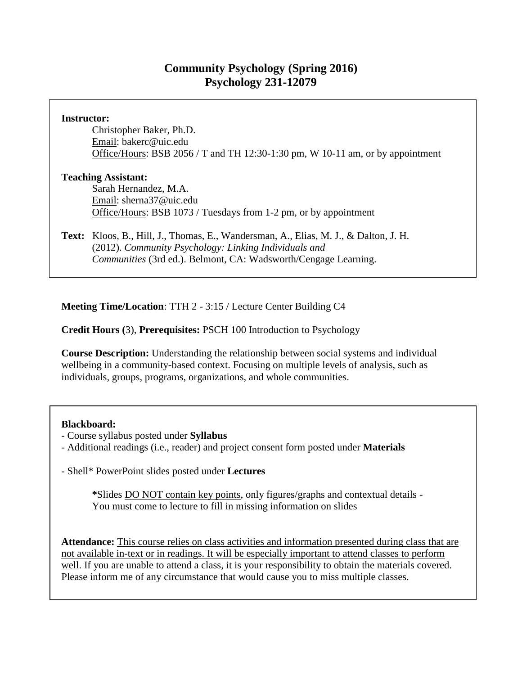# **Community Psychology (Spring 2016) Psychology 231-12079**

#### **Instructor:**

Christopher Baker, Ph.D. Email: bakerc@uic.edu Office/Hours: BSB 2056 / T and TH 12:30-1:30 pm, W 10-11 am, or by appointment

#### **Teaching Assistant:**

Sarah Hernandez, M.A. Email: sherna37@uic.edu Office/Hours: BSB 1073 / Tuesdays from 1-2 pm, or by appointment

**Text:** Kloos, B., Hill, J., Thomas, E., Wandersman, A., Elias, M. J., & Dalton, J. H. (2012). *Community Psychology: Linking Individuals and Communities* (3rd ed.). Belmont, CA: Wadsworth/Cengage Learning.

**Meeting Time/Location**: TTH 2 - 3:15 / Lecture Center Building C4

### **Credit Hours (**3), **Prerequisites:** PSCH 100 Introduction to Psychology

**Course Description:** Understanding the relationship between social systems and individual wellbeing in a community-based context. Focusing on multiple levels of analysis, such as individuals, groups, programs, organizations, and whole communities.

#### **Blackboard:**

- Course syllabus posted under **Syllabus**
- Additional readings (i.e., reader) and project consent form posted under **Materials**

- Shell\* PowerPoint slides posted under **Lectures**

**\***Slides DO NOT contain key points, only figures/graphs and contextual details - You must come to lecture to fill in missing information on slides

**Attendance:** This course relies on class activities and information presented during class that are not available in-text or in readings. It will be especially important to attend classes to perform well. If you are unable to attend a class, it is your responsibility to obtain the materials covered. Please inform me of any circumstance that would cause you to miss multiple classes.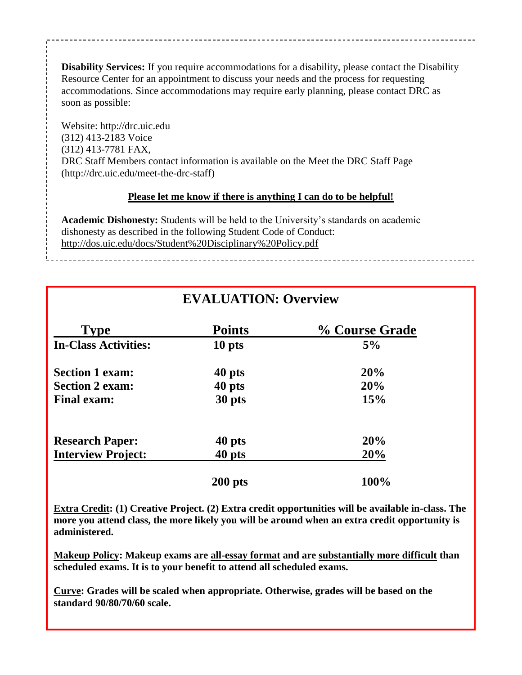**Disability Services:** If you require accommodations for a disability, please contact the Disability Resource Center for an appointment to discuss your needs and the process for requesting accommodations. Since accommodations may require early planning, please contact DRC as soon as possible:

Website: http://drc.uic.edu (312) 413-2183 Voice (312) 413-7781 FAX, DRC Staff Members contact information is available on the Meet the DRC Staff Page (http://drc.uic.edu/meet-the-drc-staff)

#### **Please let me know if there is anything I can do to be helpful!**

**Academic Dishonesty:** Students will be held to the University's standards on academic dishonesty as described in the following Student Code of Conduct: http://dos.uic.edu/docs/Student%20Disciplinary%20Policy.pdf

| <b>EVALUATION: Overview</b> |               |                |
|-----------------------------|---------------|----------------|
| <b>Type</b>                 | <b>Points</b> | % Course Grade |
| <b>In-Class Activities:</b> | 10 pts        | 5%             |
| <b>Section 1 exam:</b>      | 40 pts        | 20%            |
| <b>Section 2 exam:</b>      | 40 pts        | 20%            |
| <b>Final exam:</b>          | 30 pts        | 15%            |
| <b>Research Paper:</b>      | 40 pts        | 20%            |
| <b>Interview Project:</b>   | 40 pts        | 20%            |
|                             | $200$ pts     | 100%           |

#### **Extra Credit: (1) Creative Project. (2) Extra credit opportunities will be available in-class. The more you attend class, the more likely you will be around when an extra credit opportunity is administered.**

**Makeup Policy: Makeup exams are all-essay format and are substantially more difficult than scheduled exams. It is to your benefit to attend all scheduled exams.**

**Curve: Grades will be scaled when appropriate. Otherwise, grades will be based on the standard 90/80/70/60 scale.**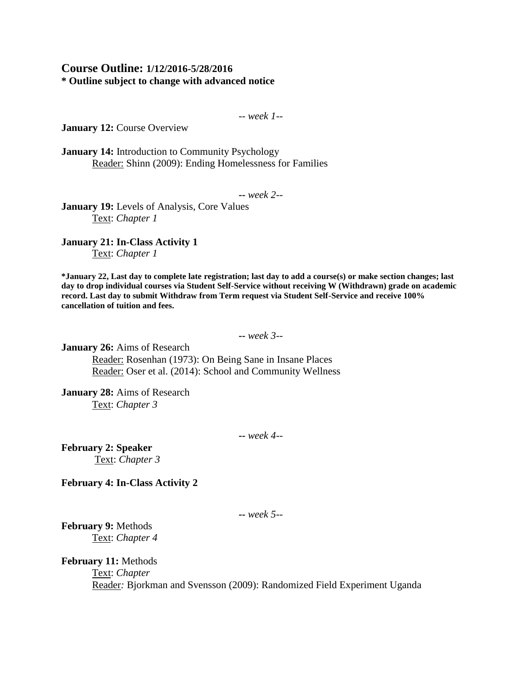#### **Course Outline: 1/12/2016-5/28/2016 \* Outline subject to change with advanced notice**

-- *week 1--*

**January 12: Course Overview** 

**January 14:** Introduction to Community Psychology Reader: Shinn (2009): Ending Homelessness for Families

**--** *week 2--*

**January 19:** Levels of Analysis, Core Values Text: *Chapter 1*

**January 21: In-Class Activity 1** Text: *Chapter 1*

**\*January 22, Last day to complete late registration; last day to add a course(s) or make section changes; last day to drop individual courses via Student Self-Service without receiving W (Withdrawn) grade on academic record. Last day to submit Withdraw from Term request via Student Self-Service and receive 100% cancellation of tuition and fees.**

**--** *week 3--*

**January 26:** Aims of Research Reader: Rosenhan (1973): On Being Sane in Insane Places Reader: Oser et al. (2014): School and Community Wellness

**January 28:** Aims of Research Text: *Chapter 3*

**--** *week 4--*

**February 2: Speaker** Text: *Chapter 3*

**February 4: In-Class Activity 2**

**--** *week 5--*

**February 9:** Methods Text: *Chapter 4*

**February 11:** Methods

Text: *Chapter* 

Reader*:* Bjorkman and Svensson (2009): Randomized Field Experiment Uganda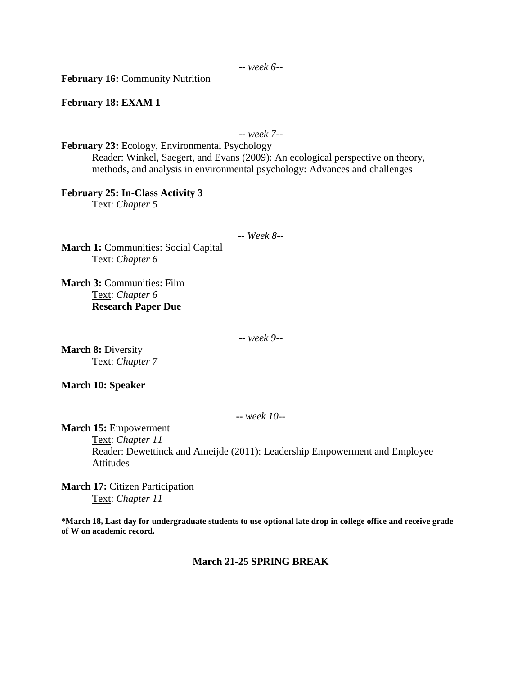**February 16:** Community Nutrition

**February 18: EXAM 1**

**--** *week 7--*

**February 23:** Ecology, Environmental Psychology Reader: Winkel, Saegert, and Evans (2009): An ecological perspective on theory, methods, and analysis in environmental psychology: Advances and challenges

**February 25: In-Class Activity 3** Text: *Chapter 5*

**--** *Week 8--*

**March 1: Communities: Social Capital** Text: *Chapter 6*

**March 3:** Communities: Film Text: *Chapter 6* **Research Paper Due**

**--** *week 9--*

**March 8:** Diversity Text: *Chapter 7*

**March 10: Speaker**

**--** *week 10--*

**March 15:** Empowerment

Text: *Chapter 11* Reader: Dewettinck and Ameijde (2011): Leadership Empowerment and Employee Attitudes

**March 17:** Citizen Participation Text: *Chapter 11*

**\*March 18, Last day for undergraduate students to use optional late drop in college office and receive grade of W on academic record.**

**March 21-25 SPRING BREAK**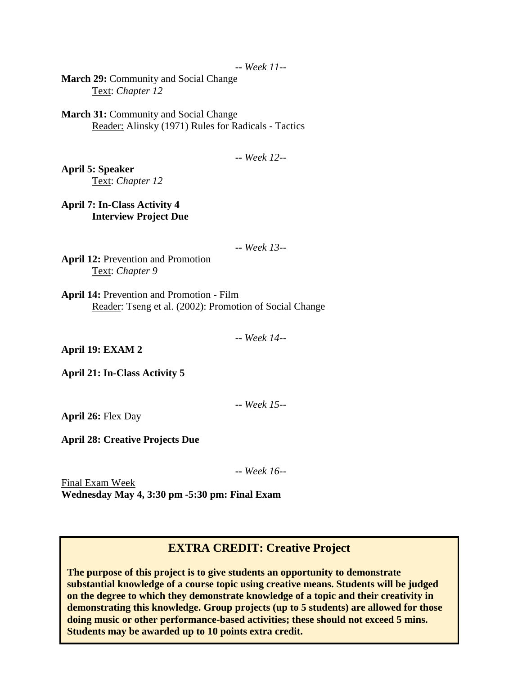**--** *Week 11--*

**March 29:** Community and Social Change Text: *Chapter 12*

**March 31: Community and Social Change** Reader: Alinsky (1971) Rules for Radicals - Tactics

**--** *Week 12--*

**April 5: Speaker** Text: *Chapter 12*

**April 7: In-Class Activity 4 Interview Project Due**

**--** *Week 13--*

**April 12:** Prevention and Promotion Text: *Chapter 9*

**April 14:** Prevention and Promotion - Film Reader: Tseng et al. (2002): Promotion of Social Change

**--** *Week 14--*

**April 19: EXAM 2**

**April 21: In-Class Activity 5**

**--** *Week 15--*

**April 26:** Flex Day

**April 28: Creative Projects Due**

**--** *Week 16--*

Final Exam Week **Wednesday May 4, 3:30 pm -5:30 pm: Final Exam**

# **EXTRA CREDIT: Creative Project**

**The purpose of this project is to give students an opportunity to demonstrate substantial knowledge of a course topic using creative means. Students will be judged on the degree to which they demonstrate knowledge of a topic and their creativity in demonstrating this knowledge. Group projects (up to 5 students) are allowed for those doing music or other performance-based activities; these should not exceed 5 mins. Students may be awarded up to 10 points extra credit.**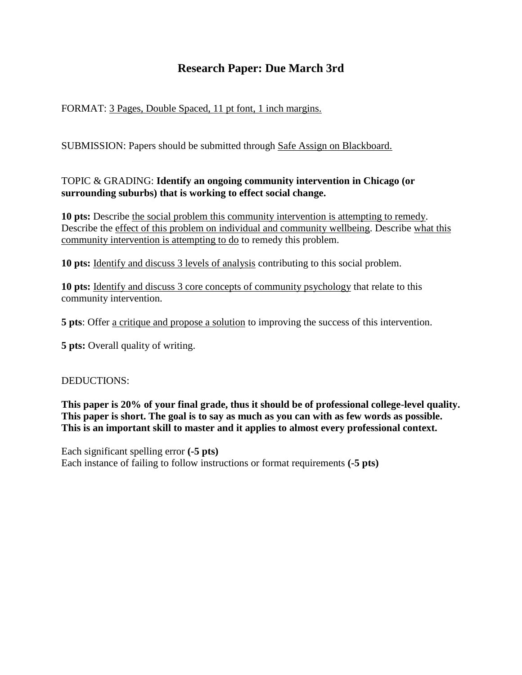# **Research Paper: Due March 3rd**

## FORMAT: 3 Pages, Double Spaced, 11 pt font, 1 inch margins.

SUBMISSION: Papers should be submitted through Safe Assign on Blackboard.

## TOPIC & GRADING: **Identify an ongoing community intervention in Chicago (or surrounding suburbs) that is working to effect social change.**

**10 pts:** Describe the social problem this community intervention is attempting to remedy. Describe the effect of this problem on individual and community wellbeing. Describe what this community intervention is attempting to do to remedy this problem.

**10 pts:** Identify and discuss 3 levels of analysis contributing to this social problem.

**10 pts:** Identify and discuss 3 core concepts of community psychology that relate to this community intervention.

**5 pts**: Offer a critique and propose a solution to improving the success of this intervention.

**5 pts:** Overall quality of writing.

#### DEDUCTIONS:

**This paper is 20% of your final grade, thus it should be of professional college-level quality. This paper is short. The goal is to say as much as you can with as few words as possible. This is an important skill to master and it applies to almost every professional context.** 

Each significant spelling error **(-5 pts)** Each instance of failing to follow instructions or format requirements **(-5 pts)**